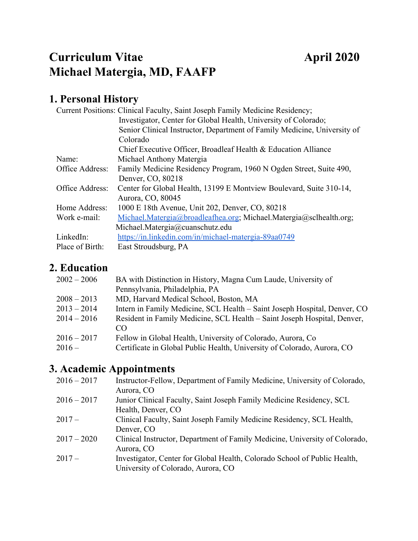# **Curriculum Vitae April 2020 Michael Matergia, MD, FAAFP**

# **1. Personal History**

|                 | Current Positions: Clinical Faculty, Saint Joseph Family Medicine Residency; |
|-----------------|------------------------------------------------------------------------------|
|                 | Investigator, Center for Global Health, University of Colorado;              |
|                 | Senior Clinical Instructor, Department of Family Medicine, University of     |
|                 | Colorado                                                                     |
|                 | Chief Executive Officer, Broadleaf Health & Education Alliance               |
| Name:           | Michael Anthony Matergia                                                     |
| Office Address: | Family Medicine Residency Program, 1960 N Ogden Street, Suite 490,           |
|                 | Denver, CO, 80218                                                            |
| Office Address: | Center for Global Health, 13199 E Montview Boulevard, Suite 310-14,          |
|                 | Aurora, CO, 80045                                                            |
| Home Address:   | 1000 E 18th Avenue, Unit 202, Denver, CO, 80218                              |
| Work e-mail:    | Michael.Matergia@broadleafhea.org; Michael.Matergia@sclhealth.org;           |
|                 | Michael.Matergia@cuanschutz.edu                                              |
| LinkedIn:       | https://in.linkedin.com/in/michael-matergia-89aa0749                         |
| Place of Birth: | East Stroudsburg, PA                                                         |

## **2. Education**

| $2002 - 2006$ | BA with Distinction in History, Magna Cum Laude, University of            |
|---------------|---------------------------------------------------------------------------|
|               | Pennsylvania, Philadelphia, PA                                            |
| $2008 - 2013$ | MD, Harvard Medical School, Boston, MA                                    |
| $2013 - 2014$ | Intern in Family Medicine, SCL Health - Saint Joseph Hospital, Denver, CO |
| $2014 - 2016$ | Resident in Family Medicine, SCL Health - Saint Joseph Hospital, Denver,  |
|               | CO                                                                        |
| $2016 - 2017$ | Fellow in Global Health, University of Colorado, Aurora, Co.              |
| $2016-$       | Certificate in Global Public Health, University of Colorado, Aurora, CO   |

# **3. Academic Appointments**

| $2016 - 2017$ | Instructor-Fellow, Department of Family Medicine, University of Colorado,<br>Aurora, CO                         |
|---------------|-----------------------------------------------------------------------------------------------------------------|
| $2016 - 2017$ | Junior Clinical Faculty, Saint Joseph Family Medicine Residency, SCL<br>Health, Denver, CO                      |
| $2017-$       | Clinical Faculty, Saint Joseph Family Medicine Residency, SCL Health,<br>Denver, CO                             |
| $2017 - 2020$ | Clinical Instructor, Department of Family Medicine, University of Colorado,<br>Aurora, CO                       |
| $2017-$       | Investigator, Center for Global Health, Colorado School of Public Health,<br>University of Colorado, Aurora, CO |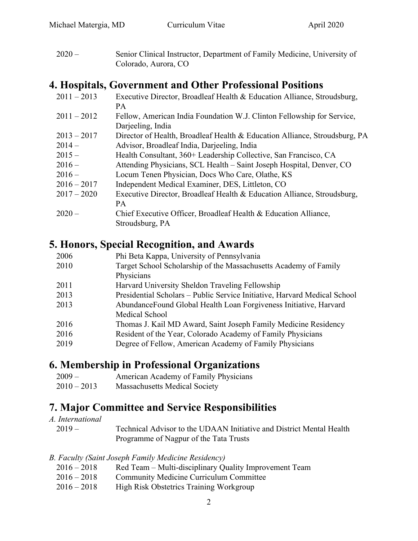2020 – Senior Clinical Instructor, Department of Family Medicine, University of Colorado, Aurora, CO

## **4. Hospitals, Government and Other Professional Positions**

| $2011 - 2013$ | Executive Director, Broadleaf Health & Education Alliance, Stroudsburg,    |
|---------------|----------------------------------------------------------------------------|
|               | <b>PA</b>                                                                  |
| $2011 - 2012$ | Fellow, American India Foundation W.J. Clinton Fellowship for Service,     |
|               | Darjeeling, India                                                          |
| $2013 - 2017$ | Director of Health, Broadleaf Health & Education Alliance, Stroudsburg, PA |
| $2014-$       | Advisor, Broadleaf India, Darjeeling, India                                |
| $2015 -$      | Health Consultant, 360+ Leadership Collective, San Francisco, CA           |
| $2016-$       | Attending Physicians, SCL Health – Saint Joseph Hospital, Denver, CO       |
| $2016-$       | Locum Tenen Physician, Docs Who Care, Olathe, KS                           |
| $2016 - 2017$ | Independent Medical Examiner, DES, Littleton, CO                           |
| $2017 - 2020$ | Executive Director, Broadleaf Health & Education Alliance, Stroudsburg,    |
|               | <b>PA</b>                                                                  |
| $2020 -$      | Chief Executive Officer, Broadleaf Health & Education Alliance,            |
|               | Stroudsburg, PA                                                            |

### **5. Honors, Special Recognition, and Awards**

| Phi Beta Kappa, University of Pennsylvania                                |
|---------------------------------------------------------------------------|
| Target School Scholarship of the Massachusetts Academy of Family          |
| Physicians                                                                |
| Harvard University Sheldon Traveling Fellowship                           |
| Presidential Scholars - Public Service Initiative, Harvard Medical School |
| AbundanceFound Global Health Loan Forgiveness Initiative, Harvard         |
| Medical School                                                            |
| Thomas J. Kail MD Award, Saint Joseph Family Medicine Residency           |
| Resident of the Year, Colorado Academy of Family Physicians               |
| Degree of Fellow, American Academy of Family Physicians                   |
|                                                                           |

## **6. Membership in Professional Organizations**

| $2009-$       | American Academy of Family Physicians |
|---------------|---------------------------------------|
| $2010 - 2013$ | <b>Massachusetts Medical Society</b>  |

## **7. Major Committee and Service Responsibilities**

*A. International* 2019 – Technical Advisor to the UDAAN Initiative and District Mental Health Programme of Nagpur of the Tata Trusts

#### *B. Faculty (Saint Joseph Family Medicine Residency)*

- 2016 2018 Red Team Multi-disciplinary Quality Improvement Team
- 2016 2018 Community Medicine Curriculum Committee
- 2016 2018 High Risk Obstetrics Training Workgroup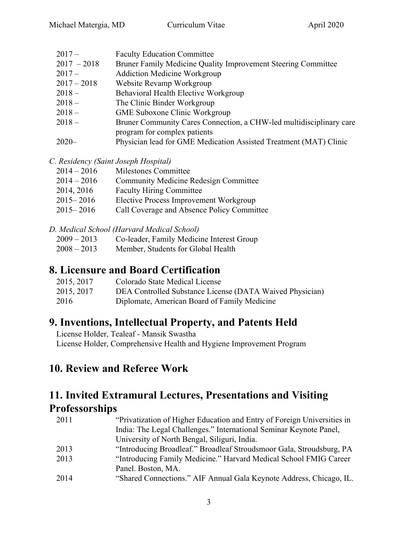2017 – Faculty Education Committee 2017 – 2018 Bruner Family Medicine Quality Improvement Steering Committee 2017 – Addiction Medicine Workgroup 2017 – 2018 Website Revamp Workgroup 2018 – Behavioral Health Elective Workgroup 2018 – The Clinic Binder Workgroup 2018 – GME Suboxone Clinic Workgroup 2018 – Bruner Community Cares Connection, a CHW-led multidisciplinary care program for complex patients 2020– Physician lead for GME Medication Assisted Treatment (MAT) Clinic

*C. Residency (Saint Joseph Hospital)*

| $2014 - 2016$ | Milestones Committee                         |
|---------------|----------------------------------------------|
| $2014 - 2016$ | <b>Community Medicine Redesign Committee</b> |
| 2014, 2016    | <b>Faculty Hiring Committee</b>              |
| $2015 - 2016$ | Elective Process Improvement Workgroup       |
| $2015 - 2016$ | Call Coverage and Absence Policy Committee   |
|               |                                              |

*D. Medical School (Harvard Medical School)*

- 2009 2013 Co-leader, Family Medicine Interest Group
- 2008 2013 Member, Students for Global Health

### **8. Licensure and Board Certification**

| 2015, 2017 | Colorado State Medical License                           |
|------------|----------------------------------------------------------|
| 2015, 2017 | DEA Controlled Substance License (DATA Waived Physician) |
| 2016       | Diplomate, American Board of Family Medicine             |

### **9. Inventions, Intellectual Property, and Patents Held**

License Holder, Tealeaf - Mansik Swastha License Holder, Comprehensive Health and Hygiene Improvement Program

### **10. Review and Referee Work**

### **11. Invited Extramural Lectures, Presentations and Visiting Professorships**

| 2011 | "Privatization of Higher Education and Entry of Foreign Universities in |
|------|-------------------------------------------------------------------------|
|      | India: The Legal Challenges." International Seminar Keynote Panel,      |
|      | University of North Bengal, Siliguri, India.                            |
| 2013 | "Introducing Broadleaf." Broadleaf Stroudsmoor Gala, Stroudsburg, PA    |
| 2013 | "Introducing Family Medicine." Harvard Medical School FMIG Career       |
|      | Panel. Boston, MA.                                                      |
| 2014 | "Shared Connections." AIF Annual Gala Keynote Address, Chicago, IL.     |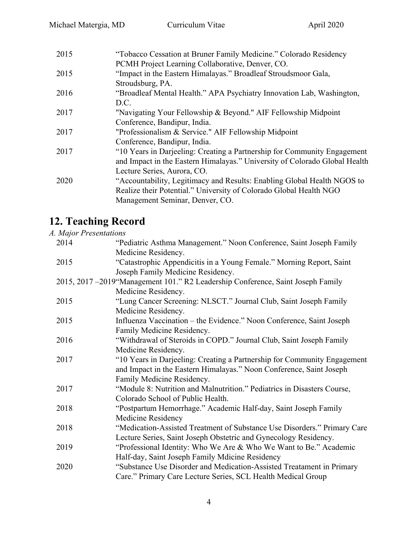| 2015 | "Tobacco Cessation at Bruner Family Medicine." Colorado Residency          |
|------|----------------------------------------------------------------------------|
|      | PCMH Project Learning Collaborative, Denver, CO.                           |
| 2015 | "Impact in the Eastern Himalayas." Broadleaf Stroudsmoor Gala,             |
|      | Stroudsburg, PA.                                                           |
| 2016 | "Broadleaf Mental Health." APA Psychiatry Innovation Lab, Washington,      |
|      | D.C.                                                                       |
| 2017 | "Navigating Your Fellowship & Beyond." AIF Fellowship Midpoint             |
|      | Conference, Bandipur, India.                                               |
| 2017 | "Professionalism & Service." AIF Fellowship Midpoint                       |
|      | Conference, Bandipur, India.                                               |
| 2017 | "10 Years in Darjeeling: Creating a Partnership for Community Engagement   |
|      | and Impact in the Eastern Himalayas." University of Colorado Global Health |
|      | Lecture Series, Aurora, CO.                                                |
| 2020 | "Accountability, Legitimacy and Results: Enabling Global Health NGOS to    |
|      | Realize their Potential." University of Colorado Global Health NGO         |
|      | Management Seminar, Denver, CO.                                            |
|      |                                                                            |

# **12. Teaching Record**

### *A. Major Presentations*

| 2014 | "Pediatric Asthma Management." Noon Conference, Saint Joseph Family              |
|------|----------------------------------------------------------------------------------|
|      | Medicine Residency.                                                              |
| 2015 | "Catastrophic Appendicitis in a Young Female." Morning Report, Saint             |
|      | Joseph Family Medicine Residency.                                                |
|      | 2015, 2017 -2019 "Management 101." R2 Leadership Conference, Saint Joseph Family |
|      | Medicine Residency.                                                              |
| 2015 | "Lung Cancer Screening: NLSCT." Journal Club, Saint Joseph Family                |
|      | Medicine Residency.                                                              |
| 2015 | Influenza Vaccination – the Evidence." Noon Conference, Saint Joseph             |
|      | Family Medicine Residency.                                                       |
| 2016 | "Withdrawal of Steroids in COPD." Journal Club, Saint Joseph Family              |
|      | Medicine Residency.                                                              |
| 2017 | "10 Years in Darjeeling: Creating a Partnership for Community Engagement         |
|      | and Impact in the Eastern Himalayas." Noon Conference, Saint Joseph              |
|      | Family Medicine Residency.                                                       |
| 2017 | "Module 8: Nutrition and Malnutrition." Pediatrics in Disasters Course,          |
|      | Colorado School of Public Health.                                                |
| 2018 | "Postpartum Hemorrhage." Academic Half-day, Saint Joseph Family                  |
|      | Medicine Residency                                                               |
| 2018 | "Medication-Assisted Treatment of Substance Use Disorders." Primary Care         |
|      | Lecture Series, Saint Joseph Obstetric and Gynecology Residency.                 |
| 2019 | "Professional Identity: Who We Are & Who We Want to Be." Academic                |
|      | Half-day, Saint Joseph Family Mdicine Residency                                  |
| 2020 | "Substance Use Disorder and Medication-Assisted Treatament in Primary            |
|      | Care." Primary Care Lecture Series, SCL Health Medical Group                     |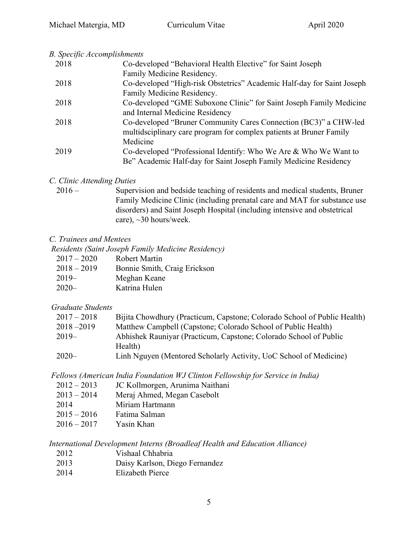#### *B. Specific Accomplishments*

| 2018 | Co-developed "Behavioral Health Elective" for Saint Joseph             |
|------|------------------------------------------------------------------------|
|      | Family Medicine Residency.                                             |
| 2018 | Co-developed "High-risk Obstetrics" Academic Half-day for Saint Joseph |
|      | Family Medicine Residency.                                             |
| 2018 | Co-developed "GME Suboxone Clinic" for Saint Joseph Family Medicine    |
|      | and Internal Medicine Residency                                        |
| 2018 | Co-developed "Bruner Community Cares Connection (BC3)" a CHW-led       |
|      | multidsciplinary care program for complex patients at Bruner Family    |
|      | Medicine                                                               |
| 2019 | Co-developed "Professional Identify: Who We Are & Who We Want to       |
|      | Be" Academic Half-day for Saint Joseph Family Medicine Residency       |

#### *C. Clinic Attending Duties*

2016 – Supervision and bedside teaching of residents and medical students, Bruner Family Medicine Clinic (including prenatal care and MAT for substance use disorders) and Saint Joseph Hospital (including intensive and obstetrical care), ~30 hours/week.

#### *C. Trainees and Mentees*

 *Residents (Saint Joseph Family Medicine Residency)*

| $2017 - 2020$ | <b>Robert Martin</b>         |
|---------------|------------------------------|
| $2018 - 2019$ | Bonnie Smith, Craig Erickson |
| $2019-$       | Meghan Keane                 |
| $2020 -$      | Katrina Hulen                |

#### *Graduate Students*

| Bijita Chowdhury (Practicum, Capstone; Colorado School of Public Health) |
|--------------------------------------------------------------------------|
| Matthew Campbell (Capstone; Colorado School of Public Health)            |
| Abhishek Rauniyar (Practicum, Capstone; Colorado School of Public        |
| Health)                                                                  |
| Linh Nguyen (Mentored Scholarly Activity, UoC School of Medicine)        |
|                                                                          |

*Fellows (American India Foundation WJ Clinton Fellowship for Service in India)* 

| $2012 - 2013$ | JC Kollmorgen, Arunima Naithani |
|---------------|---------------------------------|
| $2013 - 2014$ | Meraj Ahmed, Megan Casebolt     |
| 2014          | Miriam Hartmann                 |
| $2015 - 2016$ | Fatima Salman                   |
| $2016 - 2017$ | Yasin Khan                      |

*International Development Interns (Broadleaf Health and Education Alliance)*

- 2012 Vishaal Chhabria
- 2013 Daisy Karlson, Diego Fernandez
- 2014 Elizabeth Pierce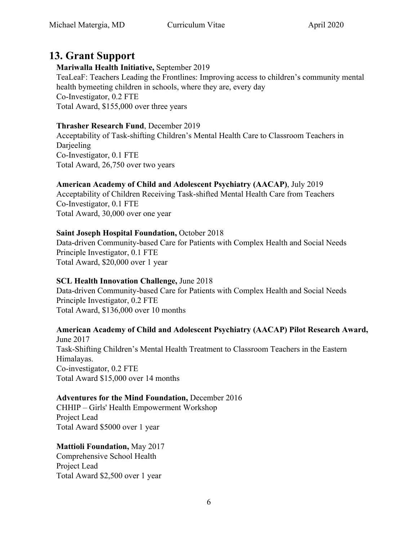## **13. Grant Support**

**Mariwalla Health Initiative,** September 2019 TeaLeaF: Teachers Leading the Frontlines: Improving access to children's community mental health bymeeting children in schools, where they are, every day Co-Investigator, 0.2 FTE Total Award, \$155,000 over three years

#### **Thrasher Research Fund**, December 2019

Acceptability of Task-shifting Children's Mental Health Care to Classroom Teachers in Darjeeling Co-Investigator, 0.1 FTE Total Award, 26,750 over two years

#### **American Academy of Child and Adolescent Psychiatry (AACAP)**, July 2019

Acceptability of Children Receiving Task-shifted Mental Health Care from Teachers Co-Investigator, 0.1 FTE Total Award, 30,000 over one year

#### **Saint Joseph Hospital Foundation,** October 2018

Data-driven Community-based Care for Patients with Complex Health and Social Needs Principle Investigator, 0.1 FTE Total Award, \$20,000 over 1 year

#### **SCL Health Innovation Challenge,** June 2018

Data-driven Community-based Care for Patients with Complex Health and Social Needs Principle Investigator, 0.2 FTE Total Award, \$136,000 over 10 months

#### **American Academy of Child and Adolescent Psychiatry (AACAP) Pilot Research Award,**

June 2017 Task-Shifting Children's Mental Health Treatment to Classroom Teachers in the Eastern Himalayas. Co-investigator, 0.2 FTE Total Award \$15,000 over 14 months

#### **Adventures for the Mind Foundation,** December 2016

CHHIP – Girls' Health Empowerment Workshop Project Lead Total Award \$5000 over 1 year

#### **Mattioli Foundation,** May 2017

Comprehensive School Health Project Lead Total Award \$2,500 over 1 year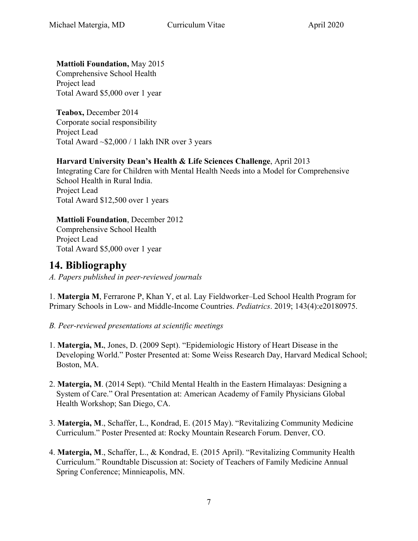**Mattioli Foundation,** May 2015

Comprehensive School Health Project lead Total Award \$5,000 over 1 year

**Teabox,** December 2014 Corporate social responsibility Project Lead Total Award ~\$2,000 / 1 lakh INR over 3 years

#### **Harvard University Dean's Health & Life Sciences Challenge**, April 2013

Integrating Care for Children with Mental Health Needs into a Model for Comprehensive School Health in Rural India. Project Lead Total Award \$12,500 over 1 years

**Mattioli Foundation**, December 2012 Comprehensive School Health Project Lead Total Award \$5,000 over 1 year

### **14. Bibliography**

*A. Papers published in peer-reviewed journals*

1. **Matergia M**, Ferrarone P, Khan Y, et al. Lay Fieldworker–Led School Health Program for Primary Schools in Low- and Middle-Income Countries. *Pediatrics*. 2019; 143(4):e20180975.

- *B. Peer-reviewed presentations at scientific meetings*
- 1. **Matergia, M.**, Jones, D. (2009 Sept). "Epidemiologic History of Heart Disease in the Developing World." Poster Presented at: Some Weiss Research Day, Harvard Medical School; Boston, MA.
- 2. **Matergia, M**. (2014 Sept). "Child Mental Health in the Eastern Himalayas: Designing a System of Care." Oral Presentation at: American Academy of Family Physicians Global Health Workshop; San Diego, CA.
- 3. **Matergia, M**., Schaffer, L., Kondrad, E. (2015 May). "Revitalizing Community Medicine Curriculum." Poster Presented at: Rocky Mountain Research Forum. Denver, CO.
- 4. **Matergia, M**., Schaffer, L., & Kondrad, E. (2015 April). "Revitalizing Community Health Curriculum." Roundtable Discussion at: Society of Teachers of Family Medicine Annual Spring Conference; Minnieapolis, MN.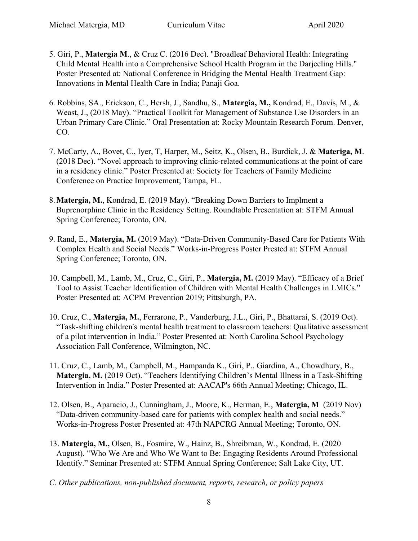- 5. Giri, P., **Matergia M**., & Cruz C. (2016 Dec). "Broadleaf Behavioral Health: Integrating Child Mental Health into a Comprehensive School Health Program in the Darjeeling Hills." Poster Presented at: National Conference in Bridging the Mental Health Treatment Gap: Innovations in Mental Health Care in India; Panaji Goa.
- 6. Robbins, SA., Erickson, C., Hersh, J., Sandhu, S., **Matergia, M.,** Kondrad, E., Davis, M., & Weast, J., (2018 May). "Practical Toolkit for Management of Substance Use Disorders in an Urban Primary Care Clinic." Oral Presentation at: Rocky Mountain Research Forum. Denver, CO.
- 7. McCarty, A., Bovet, C., Iyer, T, Harper, M., Seitz, K., Olsen, B., Burdick, J. & **Materiga, M**. (2018 Dec). "Novel approach to improving clinic-related communications at the point of care in a residency clinic." Poster Presented at: Society for Teachers of Family Medicine Conference on Practice Improvement; Tampa, FL.
- 8.**Matergia, M.**, Kondrad, E. (2019 May). "Breaking Down Barriers to Implment a Buprenorphine Clinic in the Residency Setting. Roundtable Presentation at: STFM Annual Spring Conference; Toronto, ON.
- 9. Rand, E., **Matergia, M.** (2019 May). "Data-Driven Community-Based Care for Patients With Complex Health and Social Needs." Works-in-Progress Poster Prested at: STFM Annual Spring Conference; Toronto, ON.
- 10. Campbell, M., Lamb, M., Cruz, C., Giri, P., **Matergia, M.** (2019 May). "Efficacy of a Brief Tool to Assist Teacher Identification of Children with Mental Health Challenges in LMICs." Poster Presented at: ACPM Prevention 2019; Pittsburgh, PA.
- 10. Cruz, C., **Matergia, M.**, Ferrarone, P., Vanderburg, J.L., Giri, P., Bhattarai, S. (2019 Oct). "Task-shifting children's mental health treatment to classroom teachers: Qualitative assessment of a pilot intervention in India." Poster Presented at: North Carolina School Psychology Association Fall Conference, Wilmington, NC.
- 11. Cruz, C., Lamb, M., Campbell, M., Hampanda K., Giri, P., Giardina, A., Chowdhury, B., **Matergia, M.** (2019 Oct). "Teachers Identifying Children's Mental Illness in a Task-Shifting Intervention in India." Poster Presented at: AACAP's 66th Annual Meeting; Chicago, IL.
- 12. Olsen, B., Aparacio, J., Cunningham, J., Moore, K., Herman, E., **Matergia, M** (2019 Nov) "Data-driven community-based care for patients with complex health and social needs." Works-in-Progress Poster Presented at: 47th NAPCRG Annual Meeting; Toronto, ON.
- 13. **Matergia, M.,** Olsen, B., Fosmire, W., Hainz, B., Shreibman, W., Kondrad, E. (2020 August). "Who We Are and Who We Want to Be: Engaging Residents Around Professional Identify." Seminar Presented at: STFM Annual Spring Conference; Salt Lake City, UT.
- *C. Other publications, non-published document, reports, research, or policy papers*